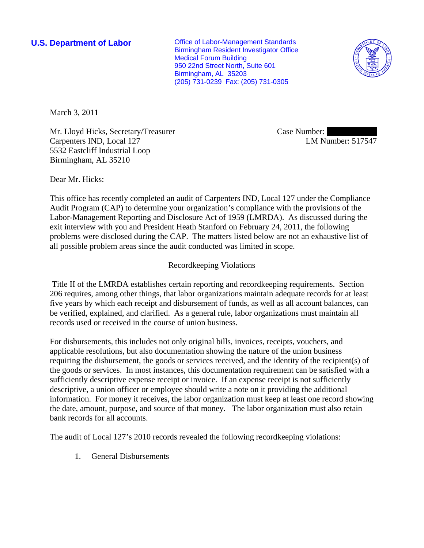**U.S. Department of Labor Conservative Conservative Conservative Conservative Conservative Conservative Conservative Conservative Conservative Conservative Conservative Conservative Conservative Conservative Conservative** Birmingham Resident Investigator Office Medical Forum Building 950 22nd Street North, Suite 601 Birmingham, AL 35203 (205) 731-0239 Fax: (205) 731-0305



March 3, 2011

Mr. Lloyd Hicks, Secretary/Treasurer Carpenters IND, Local 127 5532 Eastcliff Industrial Loop Birmingham, AL 35210

Case Number: LM Number: 517547

Dear Mr. Hicks:

This office has recently completed an audit of Carpenters IND, Local 127 under the Compliance Audit Program (CAP) to determine your organization's compliance with the provisions of the Labor-Management Reporting and Disclosure Act of 1959 (LMRDA). As discussed during the exit interview with you and President Heath Stanford on February 24, 2011, the following problems were disclosed during the CAP. The matters listed below are not an exhaustive list of all possible problem areas since the audit conducted was limited in scope.

## Recordkeeping Violations

 Title II of the LMRDA establishes certain reporting and recordkeeping requirements. Section 206 requires, among other things, that labor organizations maintain adequate records for at least five years by which each receipt and disbursement of funds, as well as all account balances, can be verified, explained, and clarified. As a general rule, labor organizations must maintain all records used or received in the course of union business.

For disbursements, this includes not only original bills, invoices, receipts, vouchers, and applicable resolutions, but also documentation showing the nature of the union business requiring the disbursement, the goods or services received, and the identity of the recipient(s) of the goods or services. In most instances, this documentation requirement can be satisfied with a sufficiently descriptive expense receipt or invoice. If an expense receipt is not sufficiently descriptive, a union officer or employee should write a note on it providing the additional information. For money it receives, the labor organization must keep at least one record showing the date, amount, purpose, and source of that money. The labor organization must also retain bank records for all accounts.

The audit of Local 127's 2010 records revealed the following recordkeeping violations:

1. General Disbursements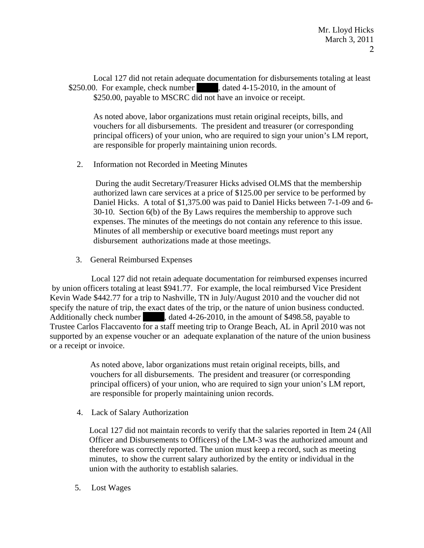Local 127 did not retain adequate documentation for disbursements totaling at least \$250.00. For example, check number  $\qquad$ , dated 4-15-2010, in the amount of \$250.00, payable to MSCRC did not have an invoice or receipt.

As noted above, labor organizations must retain original receipts, bills, and vouchers for all disbursements. The president and treasurer (or corresponding principal officers) of your union, who are required to sign your union's LM report, are responsible for properly maintaining union records.

2. Information not Recorded in Meeting Minutes

 During the audit Secretary/Treasurer Hicks advised OLMS that the membership authorized lawn care services at a price of \$125.00 per service to be performed by Daniel Hicks. A total of \$1,375.00 was paid to Daniel Hicks between 7-1-09 and 6- 30-10. Section 6(b) of the By Laws requires the membership to approve such expenses. The minutes of the meetings do not contain any reference to this issue. Minutes of all membership or executive board meetings must report any disbursement authorizations made at those meetings.

3. General Reimbursed Expenses

 Local 127 did not retain adequate documentation for reimbursed expenses incurred by union officers totaling at least \$941.77. For example, the local reimbursed Vice President Kevin Wade \$442.77 for a trip to Nashville, TN in July/August 2010 and the voucher did not specify the nature of trip, the exact dates of the trip, or the nature of union business conducted. Additionally check number discussed decays dated 4-26-2010, in the amount of \$498.58, payable to Trustee Carlos Flaccavento for a staff meeting trip to Orange Beach, AL in April 2010 was not supported by an expense voucher or an adequate explanation of the nature of the union business or a receipt or invoice.

> As noted above, labor organizations must retain original receipts, bills, and vouchers for all disbursements. The president and treasurer (or corresponding principal officers) of your union, who are required to sign your union's LM report, are responsible for properly maintaining union records.

4. Lack of Salary Authorization

 Local 127 did not maintain records to verify that the salaries reported in Item 24 (All Officer and Disbursements to Officers) of the LM-3 was the authorized amount and therefore was correctly reported. The union must keep a record, such as meeting minutes, to show the current salary authorized by the entity or individual in the union with the authority to establish salaries.

5. Lost Wages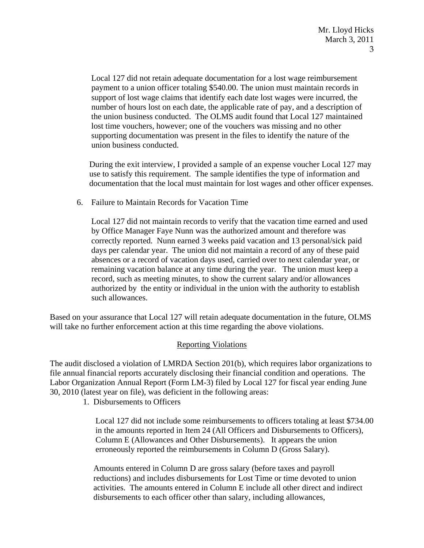Local 127 did not retain adequate documentation for a lost wage reimbursement payment to a union officer totaling \$540.00. The union must maintain records in support of lost wage claims that identify each date lost wages were incurred, the number of hours lost on each date, the applicable rate of pay, and a description of the union business conducted. The OLMS audit found that Local 127 maintained lost time vouchers, however; one of the vouchers was missing and no other supporting documentation was present in the files to identify the nature of the union business conducted.

 During the exit interview, I provided a sample of an expense voucher Local 127 may use to satisfy this requirement. The sample identifies the type of information and documentation that the local must maintain for lost wages and other officer expenses.

6. Failure to Maintain Records for Vacation Time

 Local 127 did not maintain records to verify that the vacation time earned and used by Office Manager Faye Nunn was the authorized amount and therefore was correctly reported. Nunn earned 3 weeks paid vacation and 13 personal/sick paid days per calendar year. The union did not maintain a record of any of these paid absences or a record of vacation days used, carried over to next calendar year, or remaining vacation balance at any time during the year. The union must keep a record, such as meeting minutes, to show the current salary and/or allowances authorized by the entity or individual in the union with the authority to establish such allowances.

Based on your assurance that Local 127 will retain adequate documentation in the future, OLMS will take no further enforcement action at this time regarding the above violations.

## Reporting Violations

The audit disclosed a violation of LMRDA Section 201(b), which requires labor organizations to file annual financial reports accurately disclosing their financial condition and operations. The Labor Organization Annual Report (Form LM-3) filed by Local 127 for fiscal year ending June 30, 2010 (latest year on file), was deficient in the following areas:

1. Disbursements to Officers

 Local 127 did not include some reimbursements to officers totaling at least \$734.00 in the amounts reported in Item 24 (All Officers and Disbursements to Officers), Column E (Allowances and Other Disbursements). It appears the union erroneously reported the reimbursements in Column D (Gross Salary).

 Amounts entered in Column D are gross salary (before taxes and payroll reductions) and includes disbursements for Lost Time or time devoted to union activities. The amounts entered in Column E include all other direct and indirect disbursements to each officer other than salary, including allowances,